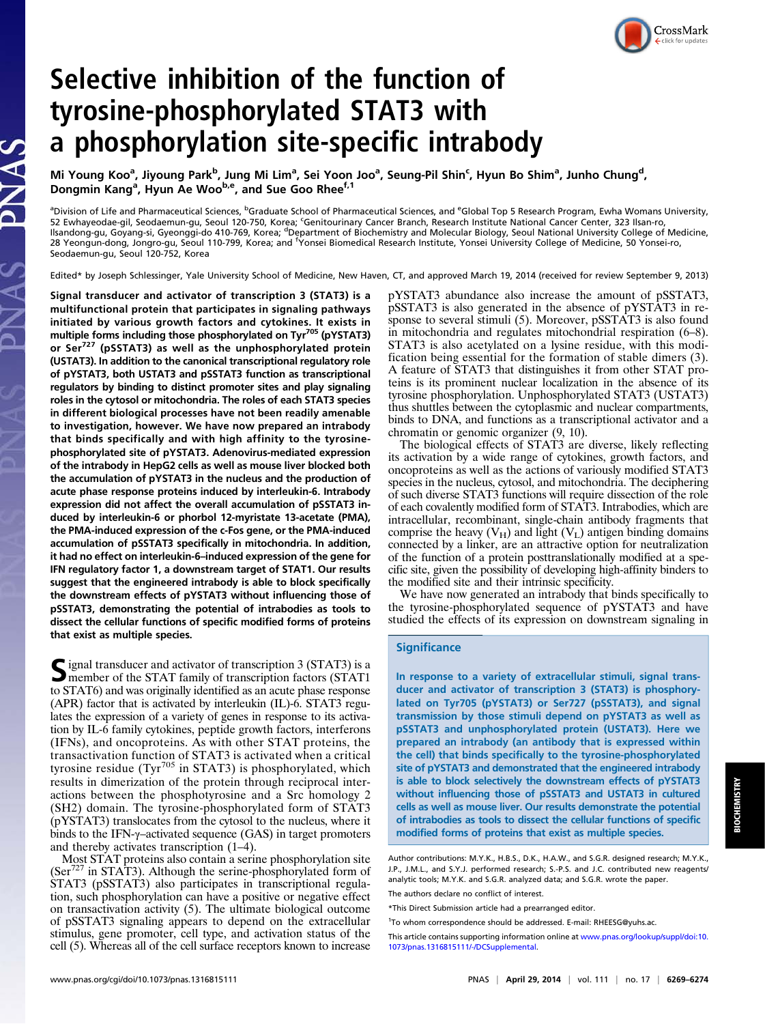# Selective inhibition of the function of tyrosine-phosphorylated STAT3 with a phosphorylation site-specific intrabody

Mi Young Koo<sup>a</sup>, Jiyoung Park<sup>b</sup>, Jung Mi Lim<sup>a</sup>, Sei Yoon Joo<sup>a</sup>, Seung-Pil Shin<sup>c</sup>, Hyun Bo Shim<sup>a</sup>, Junho Chung<sup>d</sup>, Dongmin Kang<sup>a</sup>, Hyun Ae Woo<sup>b,e</sup>, and Sue Goo Rhee<sup>f,1</sup>

<sup>a</sup>Division of Life and Pharmaceutical Sciences, <sup>b</sup>Graduate School of Pharmaceutical Sciences, and <sup>e</sup>Global Top 5 Research Program, Ewha Womans University, 52 Ewhayeodae-gil, Seodaemun-gu, Seoul 120-750, Korea; <sup>c</sup>Genitourinary Cancer Branch, Research Institute National Cancer Center, 323 Ilsan-ro, Ilsandong-gu, Goyang-si, Gyeonggi-do 410-769, Korea; <sup>d</sup>Department of Biochemistry and Molecular Biology, Seoul National University College of Medicine, 28 Yeongun-dong, Jongro-gu, Seoul 110-799, Korea; and <sup>f</sup>Yonsei Biomedical Research Institute, Yonsei University College of Medicine, 50 Yonsei-ro, Seodaemun-gu, Seoul 120-752, Korea

Edited\* by Joseph Schlessinger, Yale University School of Medicine, New Haven, CT, and approved March 19, 2014 (received for review September 9, 2013)

Signal transducer and activator of transcription 3 (STAT3) is a multifunctional protein that participates in signaling pathways initiated by various growth factors and cytokines. It exists in multiple forms including those phosphorylated on Tyr<sup>705</sup> (pYSTAT3) or Ser<sup>727</sup> (pSSTAT3) as well as the unphosphorylated protein (USTAT3). In addition to the canonical transcriptional regulatory role of pYSTAT3, both USTAT3 and pSSTAT3 function as transcriptional regulators by binding to distinct promoter sites and play signaling roles in the cytosol or mitochondria. The roles of each STAT3 species in different biological processes have not been readily amenable to investigation, however. We have now prepared an intrabody that binds specifically and with high affinity to the tyrosinephosphorylated site of pYSTAT3. Adenovirus-mediated expression of the intrabody in HepG2 cells as well as mouse liver blocked both the accumulation of pYSTAT3 in the nucleus and the production of acute phase response proteins induced by interleukin-6. Intrabody expression did not affect the overall accumulation of pSSTAT3 induced by interleukin-6 or phorbol 12-myristate 13-acetate (PMA), the PMA-induced expression of the c-Fos gene, or the PMA-induced accumulation of pSSTAT3 specifically in mitochondria. In addition, it had no effect on interleukin-6–induced expression of the gene for IFN regulatory factor 1, a downstream target of STAT1. Our results suggest that the engineered intrabody is able to block specifically the downstream effects of pYSTAT3 without influencing those of pSSTAT3, demonstrating the potential of intrabodies as tools to dissect the cellular functions of specific modified forms of proteins that exist as multiple species.

Signal transducer and activator of transcription 3 (STAT3) is a<br>member of the STAT family of transcription factors (STAT1 to STAT6) and was originally identified as an acute phase response (APR) factor that is activated by interleukin (IL)-6. STAT3 regulates the expression of a variety of genes in response to its activation by IL-6 family cytokines, peptide growth factors, interferons (IFNs), and oncoproteins. As with other STAT proteins, the transactivation function of STAT3 is activated when a critical<br>tyrosine residue (Tyr<sup>705</sup> in STAT3) is phosphorylated, which results in dimerization of the protein through reciprocal interactions between the phosphotyrosine and a Src homology 2 (SH2) domain. The tyrosine-phosphorylated form of STAT3 (pYSTAT3) translocates from the cytosol to the nucleus, where it binds to the IFN-γ–activated sequence (GAS) in target promoters and thereby activates transcription (1–4).

Most STAT proteins also contain a serine phosphorylation site ( $\text{Ser}^{727}$  in STAT3). Although the serine-phosphorylated form of STAT3 (pSSTAT3) also participates in transcriptional regulation, such phosphorylation can have a positive or negative effect on transactivation activity (5). The ultimate biological outcome of pSSTAT3 signaling appears to depend on the extracellular stimulus, gene promoter, cell type, and activation status of the cell (5). Whereas all of the cell surface receptors known to increase

pYSTAT3 abundance also increase the amount of pSSTAT3, pSSTAT3 is also generated in the absence of pYSTAT3 in response to several stimuli (5). Moreover, pSSTAT3 is also found in mitochondria and regulates mitochondrial respiration (6–8). STAT3 is also acetylated on a lysine residue, with this modification being essential for the formation of stable dimers (3). A feature of STAT3 that distinguishes it from other STAT proteins is its prominent nuclear localization in the absence of its tyrosine phosphorylation. Unphosphorylated STAT3 (USTAT3) thus shuttles between the cytoplasmic and nuclear compartments, binds to DNA, and functions as a transcriptional activator and a chromatin or genomic organizer (9, 10).

The biological effects of STAT3 are diverse, likely reflecting its activation by a wide range of cytokines, growth factors, and oncoproteins as well as the actions of variously modified STAT3 species in the nucleus, cytosol, and mitochondria. The deciphering of such diverse STAT3 functions will require dissection of the role of each covalently modified form of STAT3. Intrabodies, which are intracellular, recombinant, single-chain antibody fragments that comprise the heavy  $(V_H)$  and light  $(V_L)$  antigen binding domains connected by a linker, are an attractive option for neutralization of the function of a protein posttranslationally modified at a specific site, given the possibility of developing high-affinity binders to the modified site and their intrinsic specificity.

We have now generated an intrabody that binds specifically to the tyrosine-phosphorylated sequence of pYSTAT3 and have studied the effects of its expression on downstream signaling in

## **Significance**

In response to a variety of extracellular stimuli, signal transducer and activator of transcription 3 (STAT3) is phosphorylated on Tyr705 (pYSTAT3) or Ser727 (pSSTAT3), and signal transmission by those stimuli depend on pYSTAT3 as well as pSSTAT3 and unphosphorylated protein (USTAT3). Here we prepared an intrabody (an antibody that is expressed within the cell) that binds specifically to the tyrosine-phosphorylated site of pYSTAT3 and demonstrated that the engineered intrabody is able to block selectively the downstream effects of pYSTAT3 without influencing those of pSSTAT3 and USTAT3 in cultured cells as well as mouse liver. Our results demonstrate the potential of intrabodies as tools to dissect the cellular functions of specific modified forms of proteins that exist as multiple species.

Author contributions: M.Y.K., H.B.S., D.K., H.A.W., and S.G.R. designed research; M.Y.K., J.P., J.M.L., and S.Y.J. performed research; S.-P.S. and J.C. contributed new reagents/ analytic tools; M.Y.K. and S.G.R. analyzed data; and S.G.R. wrote the paper. The authors declare no conflict of interest.

<sup>\*</sup>This Direct Submission article had a prearranged editor.

<sup>&</sup>lt;sup>1</sup>To whom correspondence should be addressed. E-mail: [RHEESG@yuhs.ac.](mailto:RHEESG@yuhs.ac)

This article contains supporting information online at [www.pnas.org/lookup/suppl/doi:10.](http://www.pnas.org/lookup/suppl/doi:10.1073/pnas.1316815111/-/DCSupplemental) [1073/pnas.1316815111/-/DCSupplemental](http://www.pnas.org/lookup/suppl/doi:10.1073/pnas.1316815111/-/DCSupplemental).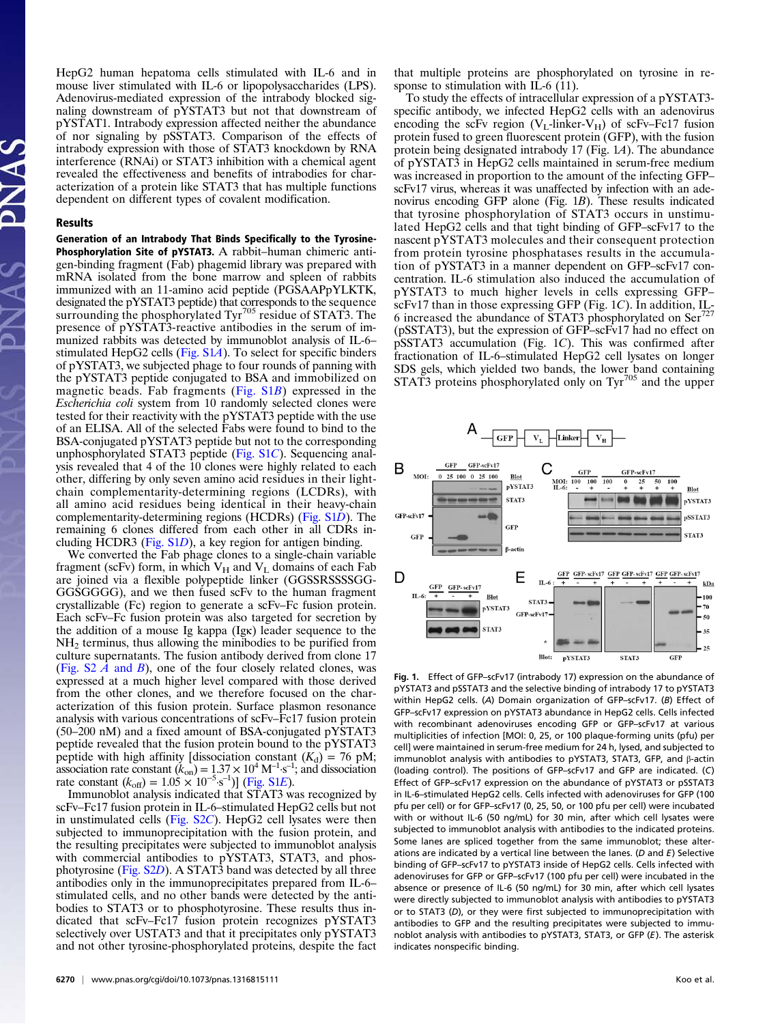HepG2 human hepatoma cells stimulated with IL-6 and in mouse liver stimulated with IL-6 or lipopolysaccharides (LPS). Adenovirus-mediated expression of the intrabody blocked signaling downstream of pYSTAT3 but not that downstream of pYSTAT1. Intrabody expression affected neither the abundance of nor signaling by pSSTAT3. Comparison of the effects of intrabody expression with those of STAT3 knockdown by RNA interference (RNAi) or STAT3 inhibition with a chemical agent revealed the effectiveness and benefits of intrabodies for characterization of a protein like STAT3 that has multiple functions dependent on different types of covalent modification.

#### Results

Generation of an Intrabody That Binds Specifically to the Tyrosine-Phosphorylation Site of pYSTAT3. A rabbit-human chimeric antigen-binding fragment (Fab) phagemid library was prepared with mRNA isolated from the bone marrow and spleen of rabbits immunized with an 11-amino acid peptide (PGSAAPpYLKTK, designated the pYSTAT3 peptide) that corresponds to the sequence surrounding the phosphorylated Tyr<sup>705</sup> residue of STAT3. The presence of pYSTAT3-reactive antibodies in the serum of immunized rabbits was detected by immunoblot analysis of IL-6– stimulated HepG2 cells (Fig.  $S1A$ ). To select for specific binders of pYSTAT3, we subjected phage to four rounds of panning with the pYSTAT3 peptide conjugated to BSA and immobilized on magnetic beads. Fab fragments  $(Fig. S1B)$  $(Fig. S1B)$  expressed in the Escherichia coli system from 10 randomly selected clones were tested for their reactivity with the pYSTAT3 peptide with the use of an ELISA. All of the selected Fabs were found to bind to the BSA-conjugated pYSTAT3 peptide but not to the corresponding unphosphorylated STAT3 peptide [\(Fig. S1](http://www.pnas.org/lookup/suppl/doi:10.1073/pnas.1316815111/-/DCSupplemental/pnas.201316815SI.pdf?targetid=nameddest=SF1)C). Sequencing analysis revealed that 4 of the 10 clones were highly related to each other, differing by only seven amino acid residues in their lightchain complementarity-determining regions (LCDRs), with all amino acid residues being identical in their heavy-chain complementarity-determining regions (HCDRs) [\(Fig. S1](http://www.pnas.org/lookup/suppl/doi:10.1073/pnas.1316815111/-/DCSupplemental/pnas.201316815SI.pdf?targetid=nameddest=SF1)D). The remaining 6 clones differed from each other in all CDRs including HCDR3 (Fig.  $S1D$ ), a key region for antigen binding.

We converted the Fab phage clones to a single-chain variable fragment (scFv) form, in which  $V_H$  and  $V_L$  domains of each Fab are joined via a flexible polypeptide linker (GGSSRSSSSGG-GGSGGGG), and we then fused scFv to the human fragment crystallizable (Fc) region to generate a scFv–Fc fusion protein. Each scFv–Fc fusion protein was also targeted for secretion by the addition of a mouse Ig kappa (Igκ) leader sequence to the  $NH<sub>2</sub>$  terminus, thus allowing the minibodies to be purified from culture supernatants. The fusion antibody derived from clone 17 (Fig.  $S2 \overline{A}$  and  $\overline{B}$ ), one of the four closely related clones, was expressed at a much higher level compared with those derived from the other clones, and we therefore focused on the characterization of this fusion protein. Surface plasmon resonance analysis with various concentrations of scFv–Fc17 fusion protein (50–200 nM) and a fixed amount of BSA-conjugated pYSTAT3 peptide revealed that the fusion protein bound to the pYSTAT3 peptide with high affinity [dissociation constant  $(K_d) = 76$  pM; association rate constant  $(k_{on}) = 1.37 \times 10^4$  M<sup>-1</sup>·s<sup>-1</sup>; and dissociation rate constant  $(k_{\text{off}}) = 1.05 \times 10^{-5} \text{ s}^{-1}$ )] ([Fig. S1](http://www.pnas.org/lookup/suppl/doi:10.1073/pnas.1316815111/-/DCSupplemental/pnas.201316815SI.pdf?targetid=nameddest=SF1)E).

Immunoblot analysis indicated that STAT3 was recognized by scFv–Fc17 fusion protein in IL-6–stimulated HepG2 cells but not in unstimulated cells [\(Fig. S2](http://www.pnas.org/lookup/suppl/doi:10.1073/pnas.1316815111/-/DCSupplemental/pnas.201316815SI.pdf?targetid=nameddest=SF2)C). HepG2 cell lysates were then subjected to immunoprecipitation with the fusion protein, and the resulting precipitates were subjected to immunoblot analysis with commercial antibodies to pYSTAT3, STAT3, and phos-photyrosine [\(Fig. S2](http://www.pnas.org/lookup/suppl/doi:10.1073/pnas.1316815111/-/DCSupplemental/pnas.201316815SI.pdf?targetid=nameddest=SF2)D). A STAT3 band was detected by all three antibodies only in the immunoprecipitates prepared from IL-6– stimulated cells, and no other bands were detected by the antibodies to STAT3 or to phosphotyrosine. These results thus indicated that scFv–Fc17 fusion protein recognizes pYSTAT3 selectively over USTAT3 and that it precipitates only pYSTAT3 and not other tyrosine-phosphorylated proteins, despite the fact that multiple proteins are phosphorylated on tyrosine in response to stimulation with IL-6 (11).

To study the effects of intracellular expression of a pYSTAT3 specific antibody, we infected HepG2 cells with an adenovirus encoding the scFv region ( $V_L$ -linker- $V_H$ ) of scFv–Fc17 fusion protein fused to green fluorescent protein (GFP), with the fusion protein being designated intrabody 17 (Fig. 1A). The abundance of pYSTAT3 in HepG2 cells maintained in serum-free medium was increased in proportion to the amount of the infecting GFP– scFv17 virus, whereas it was unaffected by infection with an adenovirus encoding GFP alone (Fig. 1B). These results indicated that tyrosine phosphorylation of STAT3 occurs in unstimulated HepG2 cells and that tight binding of GFP–scFv17 to the nascent pYSTAT3 molecules and their consequent protection from protein tyrosine phosphatases results in the accumulation of pYSTAT3 in a manner dependent on GFP–scFv17 concentration. IL-6 stimulation also induced the accumulation of pYSTAT3 to much higher levels in cells expressing GFP– scFv17 than in those expressing GFP (Fig. 1C). In addition, IL-6 increased the abundance of STAT3 phosphorylated on Ser<sup>727</sup> (pSSTAT3), but the expression of GFP–scFv17 had no effect on pSSTAT3 accumulation (Fig. 1C). This was confirmed after fractionation of IL-6–stimulated HepG2 cell lysates on longer SDS gels, which yielded two bands, the lower band containing STAT3 proteins phosphorylated only on Tyr<sup>705</sup> and the upper



Fig. 1. Effect of GFP–scFv17 (intrabody 17) expression on the abundance of pYSTAT3 and pSSTAT3 and the selective binding of intrabody 17 to pYSTAT3 within HepG2 cells. (A) Domain organization of GFP–scFv17. (B) Effect of GFP–scFv17 expression on pYSTAT3 abundance in HepG2 cells. Cells infected with recombinant adenoviruses encoding GFP or GFP–scFv17 at various multiplicities of infection [MOI: 0, 25, or 100 plaque-forming units (pfu) per cell] were maintained in serum-free medium for 24 h, lysed, and subjected to immunoblot analysis with antibodies to pYSTAT3, STAT3, GFP, and β-actin (loading control). The positions of GFP–scFv17 and GFP are indicated. (C) Effect of GFP–scFv17 expression on the abundance of pYSTAT3 or pSSTAT3 in IL-6–stimulated HepG2 cells. Cells infected with adenoviruses for GFP (100 pfu per cell) or for GFP–scFv17 (0, 25, 50, or 100 pfu per cell) were incubated with or without IL-6 (50 ng/mL) for 30 min, after which cell lysates were subjected to immunoblot analysis with antibodies to the indicated proteins. Some lanes are spliced together from the same immunoblot; these alterations are indicated by a vertical line between the lanes. ( $D$  and  $E$ ) Selective binding of GFP–scFv17 to pYSTAT3 inside of HepG2 cells. Cells infected with adenoviruses for GFP or GFP–scFv17 (100 pfu per cell) were incubated in the absence or presence of IL-6 (50 ng/mL) for 30 min, after which cell lysates were directly subjected to immunoblot analysis with antibodies to pYSTAT3 or to STAT3 (D), or they were first subjected to immunoprecipitation with antibodies to GFP and the resulting precipitates were subjected to immunoblot analysis with antibodies to pYSTAT3, STAT3, or GFP (E). The asterisk indicates nonspecific binding.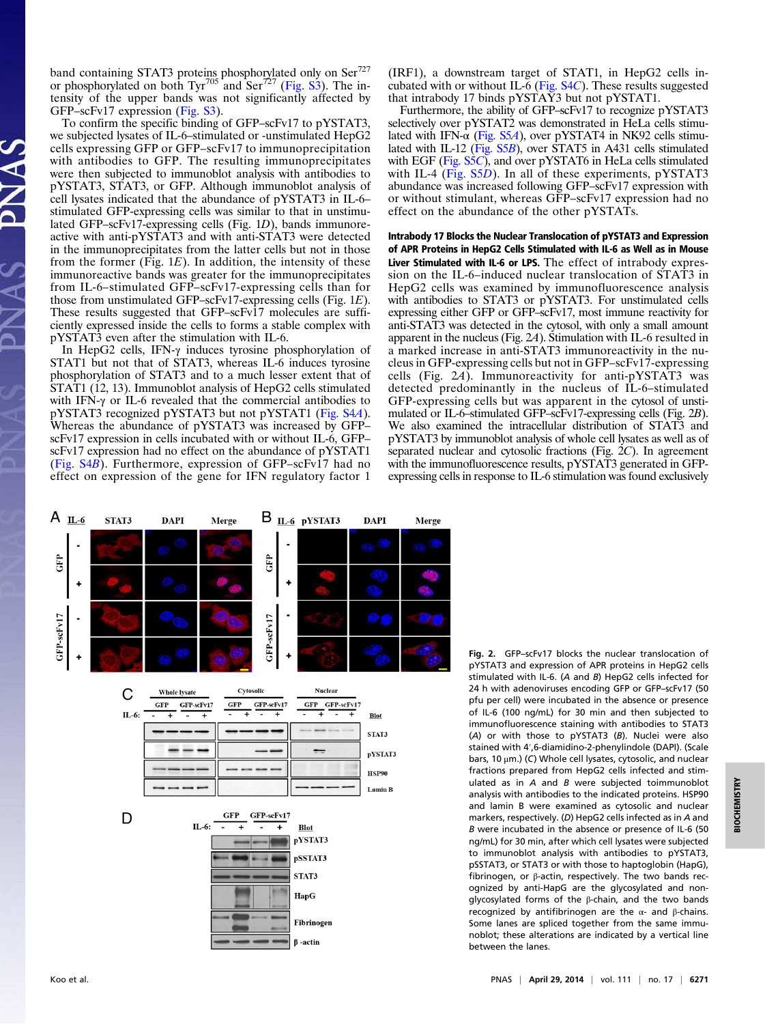band containing STAT3 proteins phosphorylated only on Ser<sup>727</sup> or phosphorylated on both  $\text{Tyr}^{705}$  and  $\text{Ser}^{727}$  [\(Fig. S3\)](http://www.pnas.org/lookup/suppl/doi:10.1073/pnas.1316815111/-/DCSupplemental/pnas.201316815SI.pdf?targetid=nameddest=SF3). The intensity of the upper bands was not significantly affected by GFP–scFv17 expression ([Fig. S3](http://www.pnas.org/lookup/suppl/doi:10.1073/pnas.1316815111/-/DCSupplemental/pnas.201316815SI.pdf?targetid=nameddest=SF3)).

To confirm the specific binding of GFP–scFv17 to pYSTAT3, we subjected lysates of IL-6–stimulated or -unstimulated HepG2 cells expressing GFP or GFP–scFv17 to immunoprecipitation with antibodies to GFP. The resulting immunoprecipitates were then subjected to immunoblot analysis with antibodies to pYSTAT3, STAT3, or GFP. Although immunoblot analysis of cell lysates indicated that the abundance of pYSTAT3 in IL-6– stimulated GFP-expressing cells was similar to that in unstimulated GFP–scFv17-expressing cells (Fig. 1D), bands immunoreactive with anti-pYSTAT3 and with anti-STAT3 were detected in the immunoprecipitates from the latter cells but not in those from the former (Fig.  $1E$ ). In addition, the intensity of these immunoreactive bands was greater for the immunoprecipitates from IL-6–stimulated GFP–scFv17-expressing cells than for those from unstimulated GFP–scFv17-expressing cells (Fig. 1E). These results suggested that GFP–scFv17 molecules are sufficiently expressed inside the cells to forms a stable complex with pYSTAT3 even after the stimulation with IL-6.

In HepG2 cells, IFN- $\gamma$  induces tyrosine phosphorylation of STAT1 but not that of STAT3, whereas IL-6 induces tyrosine phosphorylation of STAT3 and to a much lesser extent that of STAT1 (12, 13). Immunoblot analysis of HepG2 cells stimulated with IFN-γ or IL-6 revealed that the commercial antibodies to pYSTAT3 recognized pYSTAT3 but not pYSTAT1 ([Fig. S4](http://www.pnas.org/lookup/suppl/doi:10.1073/pnas.1316815111/-/DCSupplemental/pnas.201316815SI.pdf?targetid=nameddest=SF4)A). Whereas the abundance of pYSTAT3 was increased by GFP– scFv17 expression in cells incubated with or without IL-6, GFP– scFv17 expression had no effect on the abundance of pYSTAT1 ([Fig. S4](http://www.pnas.org/lookup/suppl/doi:10.1073/pnas.1316815111/-/DCSupplemental/pnas.201316815SI.pdf?targetid=nameddest=SF4)B). Furthermore, expression of GFP–scFv17 had no effect on expression of the gene for IFN regulatory factor 1

(IRF1), a downstream target of STAT1, in HepG2 cells incubated with or without IL- $\overline{6}$  [\(Fig. S4](http://www.pnas.org/lookup/suppl/doi:10.1073/pnas.1316815111/-/DCSupplemental/pnas.201316815SI.pdf?targetid=nameddest=SF4)C). These results suggested that intrabody 17 binds pYSTAY3 but not pYSTAT1.

Furthermore, the ability of GFP–scFv17 to recognize pYSTAT3 selectively over pYSTAT2 was demonstrated in HeLa cells stimulated with IFN- $\alpha$  [\(Fig. S5](http://www.pnas.org/lookup/suppl/doi:10.1073/pnas.1316815111/-/DCSupplemental/pnas.201316815SI.pdf?targetid=nameddest=SF5)A), over pYSTAT4 in NK92 cells stimulated with IL-12 [\(Fig. S5](http://www.pnas.org/lookup/suppl/doi:10.1073/pnas.1316815111/-/DCSupplemental/pnas.201316815SI.pdf?targetid=nameddest=SF5)B), over STAT5 in A431 cells stimulated with EGF (Fig.  $S<sub>5</sub>C$ ), and over pYSTAT6 in HeLa cells stimulated with IL-4 [\(Fig. S5](http://www.pnas.org/lookup/suppl/doi:10.1073/pnas.1316815111/-/DCSupplemental/pnas.201316815SI.pdf?targetid=nameddest=SF5)D). In all of these experiments, pYSTAT3 abundance was increased following GFP–scFv17 expression with or without stimulant, whereas GFP–scFv17 expression had no effect on the abundance of the other pYSTATs.

Intrabody 17 Blocks the Nuclear Translocation of pYSTAT3 and Expression of APR Proteins in HepG2 Cells Stimulated with IL-6 as Well as in Mouse Liver Stimulated with IL-6 or LPS. The effect of intrabody expression on the IL-6–induced nuclear translocation of STAT3 in HepG2 cells was examined by immunofluorescence analysis with antibodies to STAT3 or pYSTAT3. For unstimulated cells expressing either GFP or GFP–scFv17, most immune reactivity for anti-STAT3 was detected in the cytosol, with only a small amount apparent in the nucleus (Fig. 2A). Stimulation with IL-6 resulted in a marked increase in anti-STAT3 immunoreactivity in the nucleus in GFP-expressing cells but not in GFP–scFv17-expressing cells (Fig.  $2\overline{A}$ ). Immunoreactivity for anti-pYSTAT3 was detected predominantly in the nucleus of IL-6–stimulated GFP-expressing cells but was apparent in the cytosol of unstimulated or IL-6–stimulated GFP–scFv17-expressing cells (Fig. 2B). We also examined the intracellular distribution of STAT3 and pYSTAT3 by immunoblot analysis of whole cell lysates as well as of separated nuclear and cytosolic fractions (Fig. 2C). In agreement with the immunofluorescence results, pYSTAT3 generated in GFPexpressing cells in response to IL-6 stimulation was found exclusively



Fig. 2. GFP–scFv17 blocks the nuclear translocation of pYSTAT3 and expression of APR proteins in HepG2 cells stimulated with IL-6. (A and B) HepG2 cells infected for 24 h with adenoviruses encoding GFP or GFP–scFv17 (50 pfu per cell) were incubated in the absence or presence of IL-6 (100 ng/mL) for 30 min and then subjected to immunofluorescence staining with antibodies to STAT3 (A) or with those to pYSTAT3 (B). Nuclei were also stained with 4′,6-diamidino-2-phenylindole (DAPI). (Scale bars, 10 μm.) (C) Whole cell lysates, cytosolic, and nuclear fractions prepared from HepG2 cells infected and stimulated as in  $A$  and  $B$  were subjected toimmunoblot analysis with antibodies to the indicated proteins. HSP90 and lamin B were examined as cytosolic and nuclear markers, respectively. (D) HepG2 cells infected as in A and B were incubated in the absence or presence of IL-6 (50 ng/mL) for 30 min, after which cell lysates were subjected to immunoblot analysis with antibodies to pYSTAT3, pSSTAT3, or STAT3 or with those to haptoglobin (HapG), fibrinogen, or β-actin, respectively. The two bands recognized by anti-HapG are the glycosylated and nonglycosylated forms of the β-chain, and the two bands recognized by antifibrinogen are the  $\alpha$ - and β-chains. Some lanes are spliced together from the same immunoblot; these alterations are indicated by a vertical line between the lanes.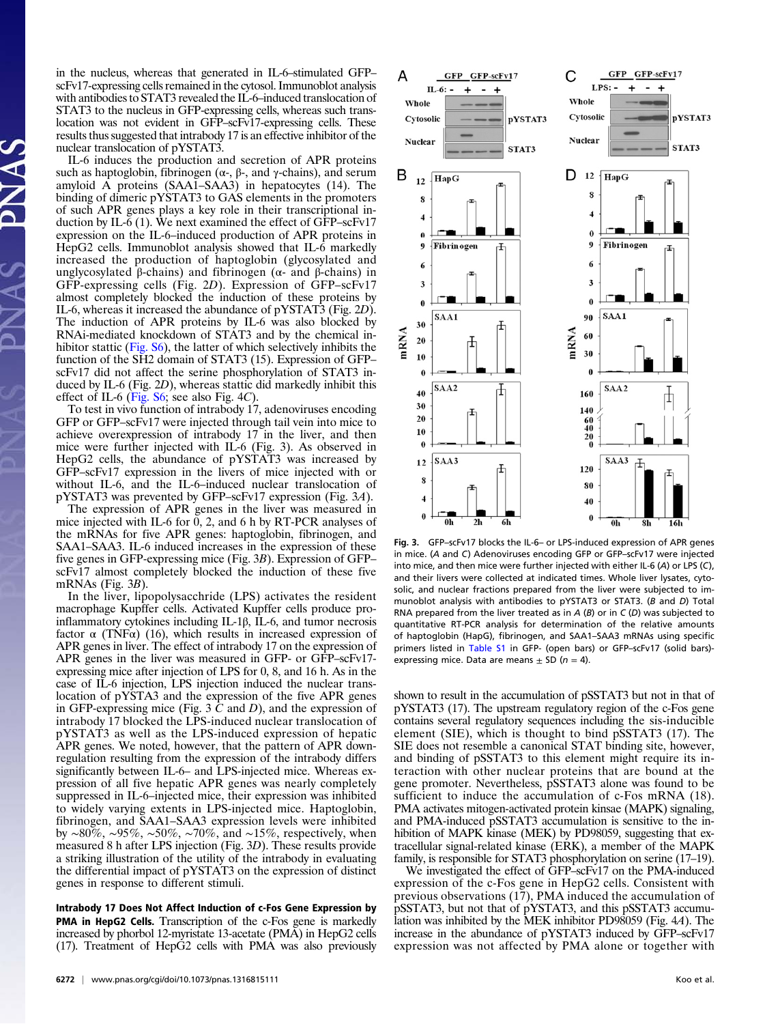in the nucleus, whereas that generated in IL-6–stimulated GFP– scFv17-expressing cells remained in the cytosol. Immunoblot analysis with antibodies to STAT3 revealed the IL-6–induced translocation of STAT3 to the nucleus in GFP-expressing cells, whereas such translocation was not evident in GFP–scFv17-expressing cells. These results thus suggested that intrabody 17 is an effective inhibitor of the nuclear translocation of pYSTAT3.

IL-6 induces the production and secretion of APR proteins such as haptoglobin, fibrinogen ( $\alpha$ -,  $\beta$ -, and  $\gamma$ -chains), and serum amyloid A proteins (SAA1–SAA3) in hepatocytes (14). The binding of dimeric pYSTAT3 to GAS elements in the promoters of such APR genes plays a key role in their transcriptional induction by IL- $\bar{6}$  (1). We next examined the effect of GFP–scFv17 expression on the IL-6–induced production of APR proteins in HepG2 cells. Immunoblot analysis showed that IL-6 markedly increased the production of haptoglobin (glycosylated and unglycosylated β-chains) and fibrinogen ( $\alpha$ - and β-chains) in GFP-expressing cells (Fig. 2D). Expression of GFP–scFv17 almost completely blocked the induction of these proteins by IL-6, whereas it increased the abundance of pYSTAT3 (Fig. 2D). The induction of APR proteins by IL-6 was also blocked by RNAi-mediated knockdown of STAT3 and by the chemical inhibitor stattic [\(Fig. S6](http://www.pnas.org/lookup/suppl/doi:10.1073/pnas.1316815111/-/DCSupplemental/pnas.201316815SI.pdf?targetid=nameddest=SF6)), the latter of which selectively inhibits the function of the SH2 domain of STAT3 (15). Expression of GFP– scFv17 did not affect the serine phosphorylation of STAT3 induced by IL-6 (Fig. 2D), whereas stattic did markedly inhibit this effect of IL-6 (Fig.  $S6$ ; see also Fig. 4C).

To test in vivo function of intrabody 17, adenoviruses encoding GFP or GFP–scFv17 were injected through tail vein into mice to achieve overexpression of intrabody 17 in the liver, and then mice were further injected with IL-6 (Fig. 3). As observed in HepG2 cells, the abundance of pYSTAT3 was increased by GFP–scFv17 expression in the livers of mice injected with or without IL-6, and the IL-6–induced nuclear translocation of pYSTAT3 was prevented by GFP–scFv17 expression (Fig. 3A).

The expression of APR genes in the liver was measured in mice injected with IL-6 for 0, 2, and 6 h by RT-PCR analyses of the mRNAs for five APR genes: haptoglobin, fibrinogen, and SAA1–SAA3. IL-6 induced increases in the expression of these five genes in GFP-expressing mice (Fig. 3B). Expression of GFP– scFv17 almost completely blocked the induction of these five mRNAs (Fig. 3B).

In the liver, lipopolysacchride (LPS) activates the resident macrophage Kupffer cells. Activated Kupffer cells produce proinflammatory cytokines including IL-1β, IL-6, and tumor necrosis factor  $\alpha$  (TNF $\alpha$ ) (16), which results in increased expression of APR genes in liver. The effect of intrabody 17 on the expression of APR genes in the liver was measured in GFP- or GFP–scFv17 expressing mice after injection of LPS for 0, 8, and 16 h. As in the case of IL-6 injection, LPS injection induced the nuclear translocation of pYSTA3 and the expression of the five APR genes in GFP-expressing mice (Fig. 3  $C$  and  $D$ ), and the expression of intrabody 17 blocked the LPS-induced nuclear translocation of pYSTAT3 as well as the LPS-induced expression of hepatic APR genes. We noted, however, that the pattern of APR downregulation resulting from the expression of the intrabody differs significantly between IL-6– and LPS-injected mice. Whereas expression of all five hepatic APR genes was nearly completely suppressed in IL-6–injected mice, their expression was inhibited to widely varying extents in LPS-injected mice. Haptoglobin, fibrinogen, and SAA1–SAA3 expression levels were inhibited by ∼80%, ∼95%, ∼50%, ∼70%, and ∼15%, respectively, when measured 8 h after LPS injection (Fig. 3D). These results provide a striking illustration of the utility of the intrabody in evaluating the differential impact of pYSTAT3 on the expression of distinct genes in response to different stimuli.

Intrabody 17 Does Not Affect Induction of c-Fos Gene Expression by PMA in HepG2 Cells. Transcription of the c-Fos gene is markedly increased by phorbol 12-myristate 13-acetate (PMA) in HepG2 cells (17). Treatment of HepG2 cells with PMA was also previously



Fig. 3. GFP–scFv17 blocks the IL-6– or LPS-induced expression of APR genes in mice. (A and C) Adenoviruses encoding GFP or GFP–scFv17 were injected into mice, and then mice were further injected with either IL-6 (A) or LPS (C), and their livers were collected at indicated times. Whole liver lysates, cytosolic, and nuclear fractions prepared from the liver were subjected to immunoblot analysis with antibodies to pYSTAT3 or STAT3. (B and D) Total RNA prepared from the liver treated as in  $A$  ( $B$ ) or in  $C$  ( $D$ ) was subjected to quantitative RT-PCR analysis for determination of the relative amounts of haptoglobin (HapG), fibrinogen, and SAA1–SAA3 mRNAs using specific primers listed in [Table S1](http://www.pnas.org/lookup/suppl/doi:10.1073/pnas.1316815111/-/DCSupplemental/pnas.201316815SI.pdf?targetid=nameddest=ST1) in GFP- (open bars) or GFP–scFv17 (solid bars) expressing mice. Data are means  $+$  SD ( $n = 4$ ).

shown to result in the accumulation of pSSTAT3 but not in that of pYSTAT3 (17). The upstream regulatory region of the c-Fos gene contains several regulatory sequences including the sis-inducible element (SIE), which is thought to bind pSSTAT3 (17). The SIE does not resemble a canonical STAT binding site, however, and binding of pSSTAT3 to this element might require its interaction with other nuclear proteins that are bound at the gene promoter. Nevertheless, pSSTAT3 alone was found to be sufficient to induce the accumulation of c-Fos mRNA (18). PMA activates mitogen-activated protein kinsae (MAPK) signaling, and PMA-induced pSSTAT3 accumulation is sensitive to the inhibition of MAPK kinase (MEK) by PD98059, suggesting that extracellular signal-related kinase (ERK), a member of the MAPK family, is responsible for STAT3 phosphorylation on serine (17–19).

We investigated the effect of GFP–scFv17 on the PMA-induced expression of the c-Fos gene in HepG2 cells. Consistent with previous observations (17), PMA induced the accumulation of pSSTAT3, but not that of pYSTAT3, and this pSSTAT3 accumulation was inhibited by the MEK inhibitor PD98059 (Fig. 4A). The increase in the abundance of pYSTAT3 induced by GFP–scFv17 expression was not affected by PMA alone or together with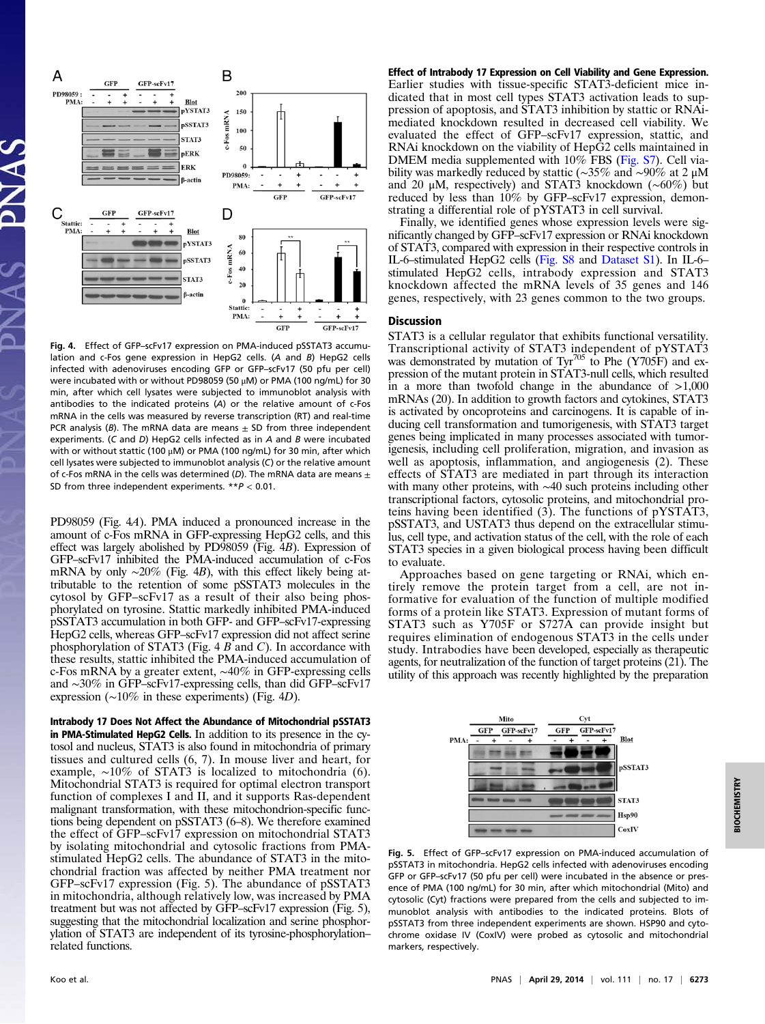

Fig. 4. Effect of GFP–scFv17 expression on PMA-induced pSSTAT3 accumulation and c-Fos gene expression in HepG2 cells. (A and B) HepG2 cells infected with adenoviruses encoding GFP or GFP–scFv17 (50 pfu per cell) were incubated with or without PD98059 (50 μM) or PMA (100 ng/mL) for 30 min, after which cell lysates were subjected to immunoblot analysis with antibodies to the indicated proteins (A) or the relative amount of c-Fos mRNA in the cells was measured by reverse transcription (RT) and real-time PCR analysis (B). The mRNA data are means  $\pm$  SD from three independent experiments. (C and D) HepG2 cells infected as in A and B were incubated with or without stattic (100 μM) or PMA (100 ng/mL) for 30 min, after which cell lysates were subjected to immunoblot analysis (C) or the relative amount of c-Fos mRNA in the cells was determined (D). The mRNA data are means  $\pm$ SD from three independent experiments.  $*P < 0.01$ .

PD98059 (Fig. 4A). PMA induced a pronounced increase in the amount of c-Fos mRNA in GFP-expressing HepG2 cells, and this effect was largely abolished by PD98059 (Fig. 4B). Expression of GFP–scFv17 inhibited the PMA-induced accumulation of c-Fos mRNA by only  $\sim$ 20% (Fig. 4B), with this effect likely being attributable to the retention of some pSSTAT3 molecules in the cytosol by GFP–scFv17 as a result of their also being phosphorylated on tyrosine. Stattic markedly inhibited PMA-induced pSSTAT3 accumulation in both GFP- and GFP–scFv17-expressing HepG2 cells, whereas GFP–scFv17 expression did not affect serine phosphorylation of STAT3 (Fig. 4  $\vec{B}$  and C). In accordance with these results, stattic inhibited the PMA-induced accumulation of c-Fos mRNA by a greater extent, ∼40% in GFP-expressing cells and ∼30% in GFP–scFv17-expressing cells, than did GFP–scFv17 expression (∼10% in these experiments) (Fig. 4D).

Intrabody 17 Does Not Affect the Abundance of Mitochondrial pSSTAT3 in PMA-Stimulated HepG2 Cells. In addition to its presence in the cytosol and nucleus, STAT3 is also found in mitochondria of primary tissues and cultured cells (6, 7). In mouse liver and heart, for example, ∼10% of STAT3 is localized to mitochondria (6). Mitochondrial STAT3 is required for optimal electron transport function of complexes I and II, and it supports Ras-dependent malignant transformation, with these mitochondrion-specific functions being dependent on pSSTAT3 (6–8). We therefore examined the effect of GFP–scFv17 expression on mitochondrial STAT3 by isolating mitochondrial and cytosolic fractions from PMAstimulated HepG2 cells. The abundance of STAT3 in the mitochondrial fraction was affected by neither PMA treatment nor GFP–scFv17 expression (Fig. 5). The abundance of pSSTAT3 in mitochondria, although relatively low, was increased by PMA treatment but was not affected by GFP–scFv17 expression (Fig. 5), suggesting that the mitochondrial localization and serine phosphorylation of STAT3 are independent of its tyrosine-phosphorylation– related functions.

Effect of Intrabody 17 Expression on Cell Viability and Gene Expression. Earlier studies with tissue-specific STAT3-deficient mice indicated that in most cell types STAT3 activation leads to suppression of apoptosis, and STAT3 inhibition by stattic or RNAimediated knockdown resulted in decreased cell viability. We evaluated the effect of GFP–scFv17 expression, stattic, and RNAi knockdown on the viability of HepG2 cells maintained in DMEM media supplemented with 10% FBS ([Fig. S7](http://www.pnas.org/lookup/suppl/doi:10.1073/pnas.1316815111/-/DCSupplemental/pnas.201316815SI.pdf?targetid=nameddest=SF7)). Cell viability was markedly reduced by stattic (∼35% and ∼90% at 2 μM and 20 μM, respectively) and STAT3 knockdown (∼60%) but reduced by less than 10% by GFP–scFv17 expression, demonstrating a differential role of pYSTAT3 in cell survival.

Finally, we identified genes whose expression levels were significantly changed by GFP–scFv17 expression or RNAi knockdown of STAT3, compared with expression in their respective controls in IL-6–stimulated HepG2 cells ([Fig. S8](http://www.pnas.org/lookup/suppl/doi:10.1073/pnas.1316815111/-/DCSupplemental/pnas.201316815SI.pdf?targetid=nameddest=SF8) and [Dataset S1](http://www.pnas.org/lookup/suppl/doi:10.1073/pnas.1316815111/-/DCSupplemental/sd01.xlsx)). In IL-6– stimulated HepG2 cells, intrabody expression and STAT3 knockdown affected the mRNA levels of 35 genes and 146 genes, respectively, with 23 genes common to the two groups.

### Discussion

STAT3 is a cellular regulator that exhibits functional versatility. Transcriptional activity of STAT3 independent of pYSTAT3 was demonstrated by mutation of Tyr<sup>705</sup> to Phe (Y705F) and expression of the mutant protein in STAT3-null cells, which resulted in a more than twofold change in the abundance of  $>1,000$ mRNAs (20). In addition to growth factors and cytokines, STAT3 is activated by oncoproteins and carcinogens. It is capable of inducing cell transformation and tumorigenesis, with STAT3 target genes being implicated in many processes associated with tumorigenesis, including cell proliferation, migration, and invasion as well as apoptosis, inflammation, and angiogenesis (2). These effects of STAT3 are mediated in part through its interaction with many other proteins, with ∼40 such proteins including other transcriptional factors, cytosolic proteins, and mitochondrial proteins having been identified (3). The functions of pYSTAT3, pSSTAT3, and USTAT3 thus depend on the extracellular stimulus, cell type, and activation status of the cell, with the role of each STAT3 species in a given biological process having been difficult to evaluate.

Approaches based on gene targeting or RNAi, which entirely remove the protein target from a cell, are not informative for evaluation of the function of multiple modified forms of a protein like STAT3. Expression of mutant forms of STAT3 such as Y705F or S727A can provide insight but requires elimination of endogenous STAT3 in the cells under study. Intrabodies have been developed, especially as therapeutic agents, for neutralization of the function of target proteins (21). The utility of this approach was recently highlighted by the preparation



Fig. 5. Effect of GFP–scFv17 expression on PMA-induced accumulation of pSSTAT3 in mitochondria. HepG2 cells infected with adenoviruses encoding GFP or GFP–scFv17 (50 pfu per cell) were incubated in the absence or presence of PMA (100 ng/mL) for 30 min, after which mitochondrial (Mito) and cytosolic (Cyt) fractions were prepared from the cells and subjected to immunoblot analysis with antibodies to the indicated proteins. Blots of pSSTAT3 from three independent experiments are shown. HSP90 and cytochrome oxidase IV (CoxIV) were probed as cytosolic and mitochondrial markers, respectively.